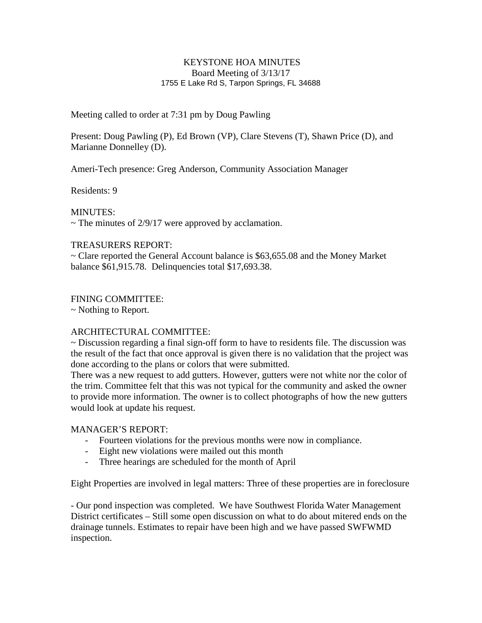### KEYSTONE HOA MINUTES Board Meeting of 3/13/17 1755 E Lake Rd S, Tarpon Springs, FL 34688

Meeting called to order at 7:31 pm by Doug Pawling

Present: Doug Pawling (P), Ed Brown (VP), Clare Stevens (T), Shawn Price (D), and Marianne Donnelley (D).

Ameri-Tech presence: Greg Anderson, Community Association Manager

Residents: 9

MINUTES:

 $\sim$  The minutes of 2/9/17 were approved by acclamation.

### TREASURERS REPORT:

~ Clare reported the General Account balance is \$63,655.08 and the Money Market balance \$61,915.78. Delinquencies total \$17,693.38.

# FINING COMMITTEE:

~ Nothing to Report.

# ARCHITECTURAL COMMITTEE:

~ Discussion regarding a final sign-off form to have to residents file. The discussion was the result of the fact that once approval is given there is no validation that the project was done according to the plans or colors that were submitted.

There was a new request to add gutters. However, gutters were not white nor the color of the trim. Committee felt that this was not typical for the community and asked the owner to provide more information. The owner is to collect photographs of how the new gutters would look at update his request.

# MANAGER'S REPORT:

- Fourteen violations for the previous months were now in compliance.
- Eight new violations were mailed out this month
- Three hearings are scheduled for the month of April

Eight Properties are involved in legal matters: Three of these properties are in foreclosure

- Our pond inspection was completed. We have Southwest Florida Water Management District certificates – Still some open discussion on what to do about mitered ends on the drainage tunnels. Estimates to repair have been high and we have passed SWFWMD inspection.